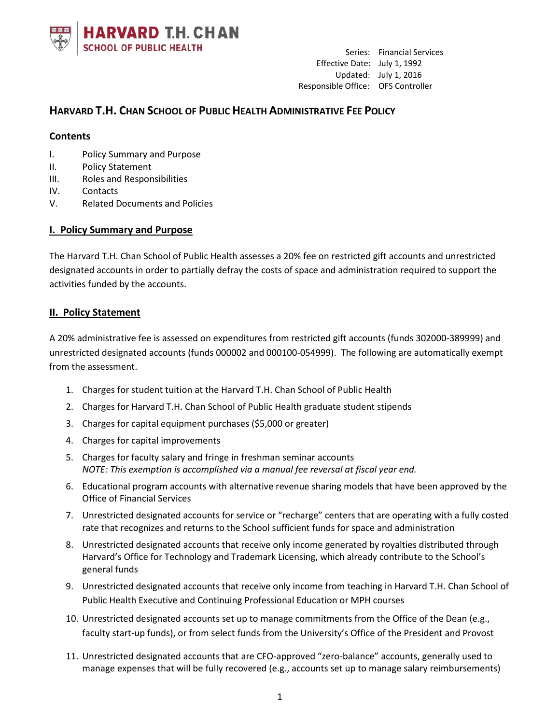

# **HARVARD T.H. CHAN SCHOOL OF PUBLIC HEALTH ADMINISTRATIVE FEE POLICY**

#### **Contents**

- I. Policy Summary and Purpose
- II. Policy Statement
- III. Roles and Responsibilities
- IV. Contacts
- V. Related Documents and Policies

### **I. Policy Summary and Purpose**

The Harvard T.H. Chan School of Public Health assesses a 20% fee on restricted gift accounts and unrestricted designated accounts in order to partially defray the costs of space and administration required to support the activities funded by the accounts.

#### **II. Policy Statement**

A 20% administrative fee is assessed on expenditures from restricted gift accounts (funds 302000-389999) and unrestricted designated accounts (funds 000002 and 000100-054999). The following are automatically exempt from the assessment.

- 1. Charges for student tuition at the Harvard T.H. Chan School of Public Health
- 2. Charges for Harvard T.H. Chan School of Public Health graduate student stipends
- 3. Charges for capital equipment purchases (\$5,000 or greater)
- 4. Charges for capital improvements
- 5. Charges for faculty salary and fringe in freshman seminar accounts *NOTE: This exemption is accomplished via a manual fee reversal at fiscal year end.*
- 6. Educational program accounts with alternative revenue sharing models that have been approved by the Office of Financial Services
- 7. Unrestricted designated accounts for service or "recharge" centers that are operating with a fully costed rate that recognizes and returns to the School sufficient funds for space and administration
- 8. Unrestricted designated accounts that receive only income generated by royalties distributed through Harvard's Office for Technology and Trademark Licensing, which already contribute to the School's general funds
- 9. Unrestricted designated accounts that receive only income from teaching in Harvard T.H. Chan School of Public Health Executive and Continuing Professional Education or MPH courses
- 10. Unrestricted designated accounts set up to manage commitments from the Office of the Dean (e.g., faculty start-up funds), or from select funds from the University's Office of the President and Provost
- 11. Unrestricted designated accounts that are CFO-approved "zero-balance" accounts, generally used to manage expenses that will be fully recovered (e.g., accounts set up to manage salary reimbursements)